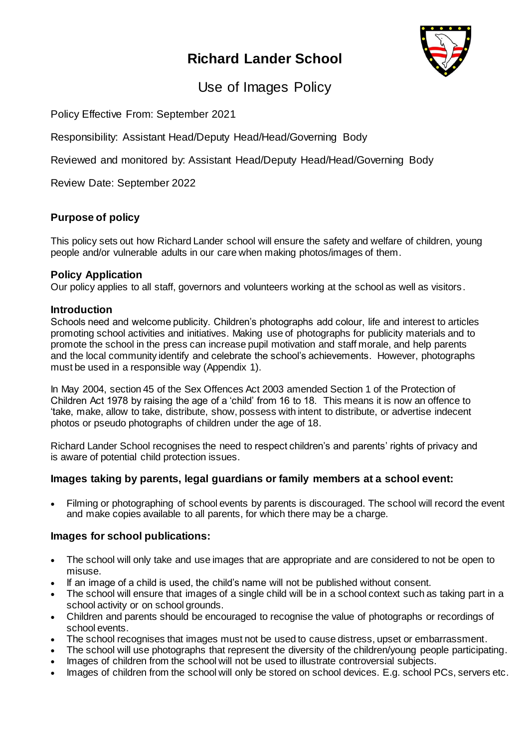# **Richard Lander School**



Use of Images Policy

Policy Effective From: September 2021

Responsibility: Assistant Head/Deputy Head/Head/Governing Body

Reviewed and monitored by: Assistant Head/Deputy Head/Head/Governing Body

Review Date: September 2022

### **Purpose of policy**

This policy sets out how Richard Lander school will ensure the safety and welfare of children, young people and/or vulnerable adults in our care when making photos/images of them.

### **Policy Application**

Our policy applies to all staff, governors and volunteers working at the school as well as visitors.

### **Introduction**

Schools need and welcome publicity. Children's photographs add colour, life and interest to articles promoting school activities and initiatives. Making use of photographs for publicity materials and to promote the school in the press can increase pupil motivation and staff morale, and help parents and the local community identify and celebrate the school's achievements. However, photographs must be used in a responsible way (Appendix 1).

In May 2004, section 45 of the Sex Offences Act 2003 amended Section 1 of the Protection of Children Act 1978 by raising the age of a 'child' from 16 to 18. This means it is now an offence to 'take, make, allow to take, distribute, show, possess with intent to distribute, or advertise indecent photos or pseudo photographs of children under the age of 18.

Richard Lander School recognises the need to respect children's and parents' rights of privacy and is aware of potential child protection issues.

### **Images taking by parents, legal guardians or family members at a school event:**

 Filming or photographing of school events by parents is discouraged. The school will record the event and make copies available to all parents, for which there may be a charge.

### **Images for school publications:**

- The school will only take and use images that are appropriate and are considered to not be open to misuse.
- If an image of a child is used, the child's name will not be published without consent.
- The school will ensure that images of a single child will be in a school context such as taking part in a school activity or on school grounds.
- Children and parents should be encouraged to recognise the value of photographs or recordings of school events.
- The school recognises that images must not be used to cause distress, upset or embarrassment.
- The school will use photographs that represent the diversity of the children/young people participating.
- Images of children from the school will not be used to illustrate controversial subjects.
- Images of children from the school will only be stored on school devices. E.g. school PCs, servers etc.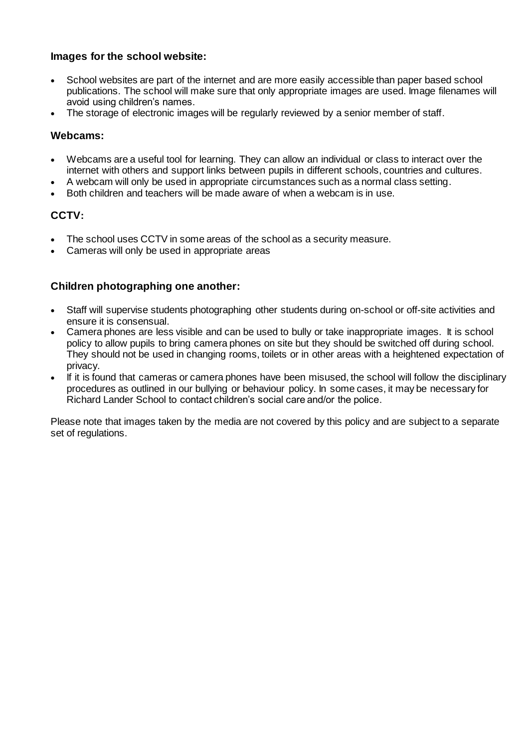### **Images for the school website:**

- School websites are part of the internet and are more easily accessible than paper based school publications. The school will make sure that only appropriate images are used. Image filenames will avoid using children's names.
- The storage of electronic images will be regularly reviewed by a senior member of staff.

### **Webcams:**

- Webcams are a useful tool for learning. They can allow an individual or class to interact over the internet with others and support links between pupils in different schools, countries and cultures.
- A webcam will only be used in appropriate circumstances such as a normal class setting.
- Both children and teachers will be made aware of when a webcam is in use.

### **CCTV:**

- The school uses CCTV in some areas of the school as a security measure.
- Cameras will only be used in appropriate areas

### **Children photographing one another:**

- Staff will supervise students photographing other students during on-school or off-site activities and ensure it is consensual.
- Camera phones are less visible and can be used to bully or take inappropriate images. It is school policy to allow pupils to bring camera phones on site but they should be switched off during school. They should not be used in changing rooms, toilets or in other areas with a heightened expectation of privacy.
- If it is found that cameras or camera phones have been misused, the school will follow the disciplinary procedures as outlined in our bullying or behaviour policy. In some cases, it may be necessary for Richard Lander School to contact children's social care and/or the police.

Please note that images taken by the media are not covered by this policy and are subject to a separate set of regulations.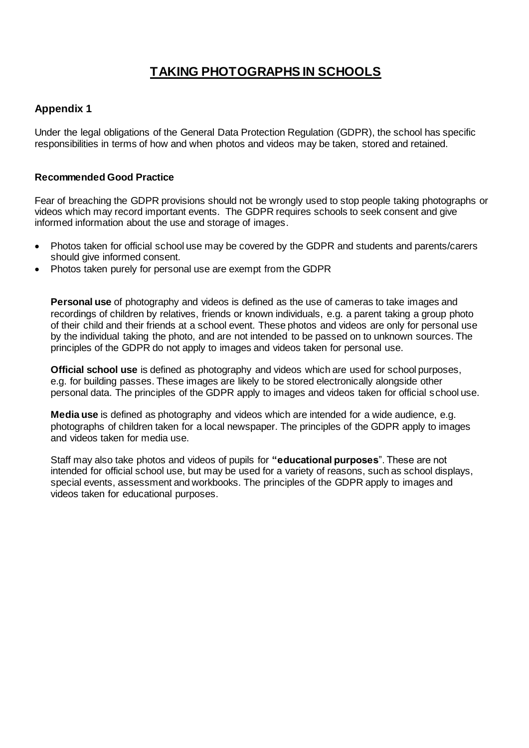# **TAKING PHOTOGRAPHS IN SCHOOLS**

### **Appendix 1**

Under the legal obligations of the General Data Protection Regulation (GDPR), the school has specific responsibilities in terms of how and when photos and videos may be taken, stored and retained.

#### **Recommended Good Practice**

Fear of breaching the GDPR provisions should not be wrongly used to stop people taking photographs or videos which may record important events. The GDPR requires schools to seek consent and give informed information about the use and storage of images.

- Photos taken for official school use may be covered by the GDPR and students and parents/carers should give informed consent.
- Photos taken purely for personal use are exempt from the GDPR

**Personal use** of photography and videos is defined as the use of cameras to take images and recordings of children by relatives, friends or known individuals, e.g. a parent taking a group photo of their child and their friends at a school event. These photos and videos are only for personal use by the individual taking the photo, and are not intended to be passed on to unknown sources. The principles of the GDPR do not apply to images and videos taken for personal use.

**Official school use** is defined as photography and videos which are used for school purposes, e.g. for building passes. These images are likely to be stored electronically alongside other personal data. The principles of the GDPR apply to images and videos taken for official school use.

**Media use** is defined as photography and videos which are intended for a wide audience, e.g. photographs of children taken for a local newspaper. The principles of the GDPR apply to images and videos taken for media use.

Staff may also take photos and videos of pupils for **"educational purposes**". These are not intended for official school use, but may be used for a variety of reasons, such as school displays, special events, assessment and workbooks. The principles of the GDPR apply to images and videos taken for educational purposes.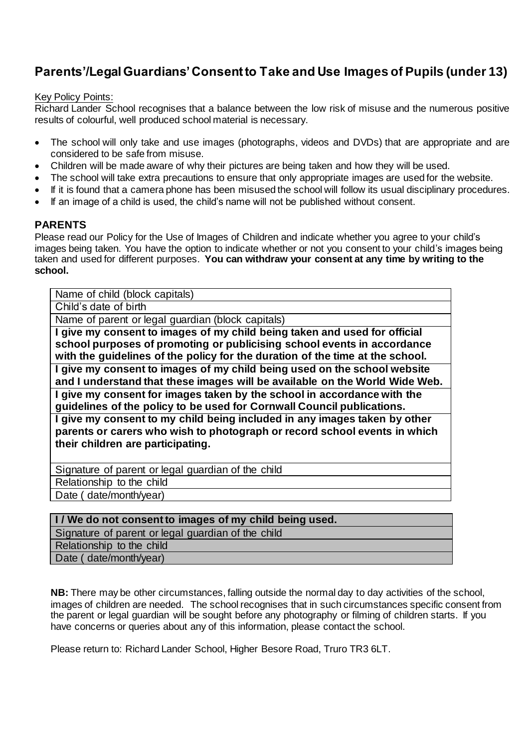## **Parents'/Legal Guardians' Consent to Take and Use Images of Pupils (under 13)**

#### Key Policy Points:

Richard Lander School recognises that a balance between the low risk of misuse and the numerous positive results of colourful, well produced school material is necessary.

- The school will only take and use images (photographs, videos and DVDs) that are appropriate and are considered to be safe from misuse.
- Children will be made aware of why their pictures are being taken and how they will be used.
- The school will take extra precautions to ensure that only appropriate images are used for the website.
- If it is found that a camera phone has been misused the school will follow its usual disciplinary procedures.
- If an image of a child is used, the child's name will not be published without consent.

### **PARENTS**

Please read our Policy for the Use of Images of Children and indicate whether you agree to your child's images being taken. You have the option to indicate whether or not you consent to your child's images being taken and used for different purposes. **You can withdraw your consent at any time by writing to the school.**

Name of child (block capitals) Child's date of birth Name of parent or legal guardian (block capitals) **I give my consent to images of my child being taken and used for official school purposes of promoting or publicising school events in accordance with the guidelines of the policy for the duration of the time at the school. I give my consent to images of my child being used on the school website and I understand that these images will be available on the World Wide Web. I give my consent for images taken by the school in accordance with the guidelines of the policy to be used for Cornwall Council publications. I give my consent to my child being included in any images taken by other parents or carers who wish to photograph or record school events in which their children are participating.**

Signature of parent or legal guardian of the child

Relationship to the child

Date ( date/month/year)

#### **I / We do not consent to images of my child being used.**

Signature of parent or legal guardian of the child Relationship to the child

Date ( date/month/year)

**NB:** There may be other circumstances, falling outside the normal day to day activities of the school, images of children are needed. The school recognises that in such circumstances specific consent from the parent or legal guardian will be sought before any photography or filming of children starts. If you have concerns or queries about any of this information, please contact the school.

Please return to: Richard Lander School, Higher Besore Road, Truro TR3 6LT.